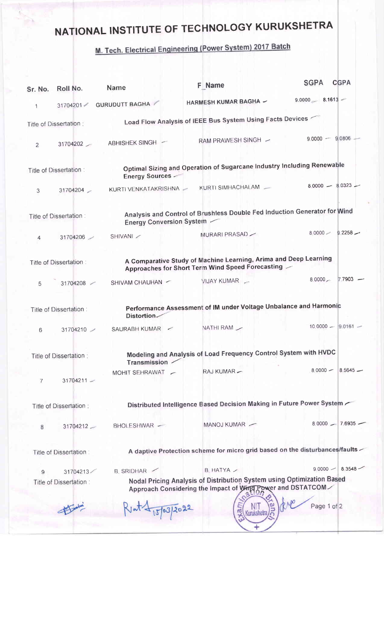## NATIONAL INSTITUTE OF TECHNOLOGY KURUKSHETRA

## M. Tech. Electrical Engineering (Power System) 2017 Batch

| Sr. No.                                                                                                                                        | Roll No.                | Name                            | <b>F</b> Name                                                                                                                        | <b>CGPA</b><br><b>SGPA</b> |  |  |
|------------------------------------------------------------------------------------------------------------------------------------------------|-------------------------|---------------------------------|--------------------------------------------------------------------------------------------------------------------------------------|----------------------------|--|--|
| 1                                                                                                                                              | 31704201                | <b>GURUDUTT BAGHA</b>           | HARMESH KUMAR BAGHA ~                                                                                                                | $9,0000$ $8.1613$ -        |  |  |
|                                                                                                                                                | Title of Dissertation:  |                                 | Load Flow Analysis of IEEE Bus System Using Facts Devices                                                                            |                            |  |  |
| 2                                                                                                                                              | 31704202                | ABHISHEK SINGH ~                | RAM PRAWESH SINGH ~                                                                                                                  | $9,0000 - 9,0806$          |  |  |
|                                                                                                                                                | Title of Dissertation:  | <b>Energy Sources -</b>         | Optimal Sizing and Operation of Sugarcane Industry Including Renewable                                                               |                            |  |  |
| 3                                                                                                                                              | 31704204                | KURTI VENKATAKRISHNA -          | KURTI SIMHACHALAM -                                                                                                                  | $8,0000 - 8,0323 -$        |  |  |
|                                                                                                                                                | Title of Dissertation : | <b>Energy Conversion System</b> | Analysis and Control of Brushless Double Fed Induction Generator for Wind                                                            |                            |  |  |
| 4                                                                                                                                              | 31704206                | SHIVANI /                       | MURARI PRASAD                                                                                                                        | $80000 - 92258 -$          |  |  |
| A Comparative Study of Machine Learning, Arima and Deep Learning<br>Title of Dissertation:<br>Approaches for Short Term Wind Speed Forecasting |                         |                                 |                                                                                                                                      |                            |  |  |
| 5                                                                                                                                              | 31704208                | SHIVAM CHAUHAN -                | VIJAY KUMAR                                                                                                                          | $7.7903 -$<br>8,0000       |  |  |
|                                                                                                                                                | Title of Dissertation:  | Distortion                      | Performance Assessment of IM under Voltage Unbalance and Harmonic                                                                    |                            |  |  |
| 6                                                                                                                                              | 31704210                | SAURABH KUMAR -                 | NATHI RAM /                                                                                                                          | $10,0000 - 9.0161 -$       |  |  |
|                                                                                                                                                | Title of Dissertation:  | <b>Transmission</b>             | Modeling and Analysis of Load Frequency Control System with HVDC                                                                     |                            |  |  |
| 7                                                                                                                                              | $31704211 -$            | MOHIT SEHRAWAT -                | RAJ KUMAR -                                                                                                                          | $8.0000 - 8.5645 -$        |  |  |
|                                                                                                                                                | Title of Dissertation:  |                                 | Distributed Intelligence Based Decision Making in Future Power System                                                                |                            |  |  |
| 8                                                                                                                                              | 31704212                | BHOLESHWAR -                    | MANOJ KUMAR —                                                                                                                        | $8.0000 - 7.6935 -$        |  |  |
|                                                                                                                                                | Title of Dissertation:  |                                 | A daptive Protection scheme for micro grid based on the disturbances/faults                                                          |                            |  |  |
| 9                                                                                                                                              | 31704213                | B. SRIDHAR                      | $B$ HATYA $\sim$                                                                                                                     | $9.0000 - 8.3548$          |  |  |
|                                                                                                                                                | Title of Dissertation:  |                                 | Nodal Pricing Analysis of Distribution System using Optimization Based<br>Approach Considering the Impact of Wind Power and DSTATCOM |                            |  |  |
|                                                                                                                                                |                         | 15/03/2022                      | Kurukshetra                                                                                                                          | Page 1 of 2                |  |  |
|                                                                                                                                                |                         |                                 |                                                                                                                                      |                            |  |  |